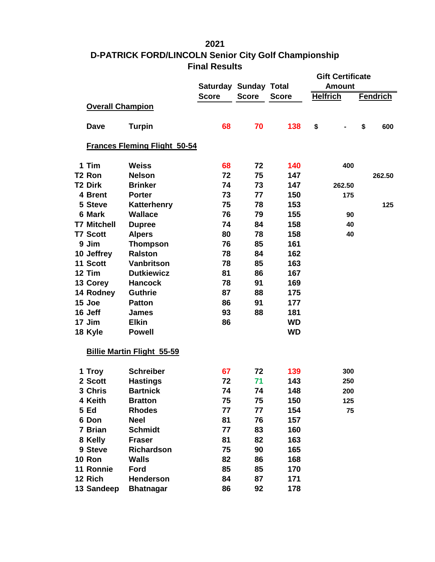## 

## **D-PATRICK FORD/LINCOLN Senior City Golf Championship Final Results**

|                         |                                     |              |                              |              | <b>Gift Certificate</b> |                 |  |
|-------------------------|-------------------------------------|--------------|------------------------------|--------------|-------------------------|-----------------|--|
|                         |                                     |              | <b>Saturday Sunday Total</b> |              | <b>Amount</b>           |                 |  |
|                         |                                     | <b>Score</b> | <b>Score</b>                 | <b>Score</b> | <b>Helfrich</b>         | <b>Fendrich</b> |  |
| <b>Overall Champion</b> |                                     |              |                              |              |                         |                 |  |
| <b>Dave</b>             | <b>Turpin</b>                       | 68           | 70                           | 138          | \$                      | \$<br>600       |  |
|                         | <b>Frances Fleming Flight 50-54</b> |              |                              |              |                         |                 |  |
| 1 Tim                   | <b>Weiss</b>                        | 68           | 72                           | 140          | 400                     |                 |  |
| T2 Ron                  | <b>Nelson</b>                       | 72           | 75                           | 147          |                         | 262.50          |  |
| T2 Dirk                 | <b>Brinker</b>                      | 74           | 73                           | 147          | 262.50                  |                 |  |
| 4 Brent                 | <b>Porter</b>                       | 73           | 77                           | 150          | 175                     |                 |  |
| 5 Steve                 | Katterhenry                         | 75           | 78                           | 153          |                         | 125             |  |
| 6 Mark                  | <b>Wallace</b>                      | 76           | 79                           | 155          | 90                      |                 |  |
| <b>T7 Mitchell</b>      | <b>Dupree</b>                       | 74           | 84                           | 158          | 40                      |                 |  |
| <b>T7 Scott</b>         | <b>Alpers</b>                       | 80           | 78                           | 158          | 40                      |                 |  |
| 9 Jim                   | <b>Thompson</b>                     | 76           | 85                           | 161          |                         |                 |  |
| 10 Jeffrey              | <b>Ralston</b>                      | 78           | 84                           | 162          |                         |                 |  |
| 11 Scott                | <b>Vanbritson</b>                   | 78           | 85                           | 163          |                         |                 |  |
| 12 Tim                  | <b>Dutkiewicz</b>                   | 81           | 86                           | 167          |                         |                 |  |
| 13 Corey                | <b>Hancock</b>                      | 78           | 91                           | 169          |                         |                 |  |
| 14 Rodney               | <b>Guthrie</b>                      | 87           | 88                           | 175          |                         |                 |  |
| 15 Joe                  | <b>Patton</b>                       | 86           | 91                           | 177          |                         |                 |  |
| 16 Jeff                 | <b>James</b>                        | 93           | 88                           | 181          |                         |                 |  |
| 17 Jim                  | <b>Elkin</b>                        | 86           |                              | <b>WD</b>    |                         |                 |  |
| 18 Kyle                 | <b>Powell</b>                       |              |                              | <b>WD</b>    |                         |                 |  |
|                         | <b>Billie Martin Flight 55-59</b>   |              |                              |              |                         |                 |  |
| 1 Troy                  | <b>Schreiber</b>                    | 67           | 72                           | 139          | 300                     |                 |  |
| 2 Scott                 | <b>Hastings</b>                     | 72           | 71                           | 143          | 250                     |                 |  |
| 3 Chris                 | <b>Bartnick</b>                     | 74           | 74                           | 148          | 200                     |                 |  |
| 4 Keith                 | <b>Bratton</b>                      | 75           | 75                           | 150          | 125                     |                 |  |
| <b>5 Ed</b>             | <b>Rhodes</b>                       | 77           | 77                           | 154          | 75                      |                 |  |
| 6 Don                   | <b>Neel</b>                         | 81           | 76                           | 157          |                         |                 |  |
| 7 Brian                 | <b>Schmidt</b>                      | 77           | 83                           | 160          |                         |                 |  |
| 8 Kelly                 | <b>Fraser</b>                       | 81           | 82                           | 163          |                         |                 |  |
| 9 Steve                 | Richardson                          | 75           | 90                           | 165          |                         |                 |  |
| 10 Ron                  | <b>Walls</b>                        | 82           | 86                           | 168          |                         |                 |  |
| 11 Ronnie               | Ford                                | 85           | 85                           | 170          |                         |                 |  |
| 12 Rich                 | <b>Henderson</b>                    | 84           | 87                           | 171          |                         |                 |  |
| 13 Sandeep              | <b>Bhatnagar</b>                    | 86           | 92                           | 178          |                         |                 |  |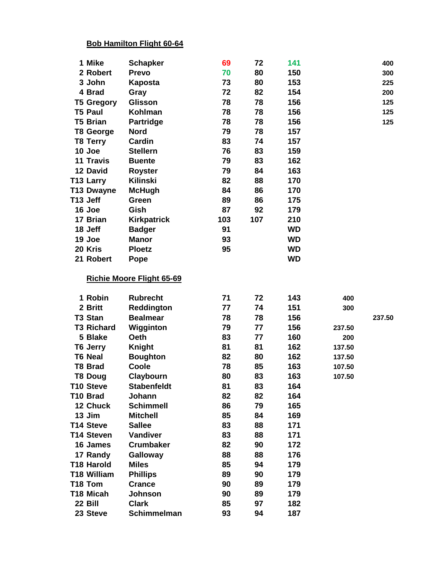## **Bob Hamilton Flight 60-64**

| 1 Mike              | <b>Schapker</b>             | 69       | 72       | 141        |        | 400    |
|---------------------|-----------------------------|----------|----------|------------|--------|--------|
| 2 Robert            | <b>Prevo</b>                | 70       | 80       | 150        |        | 300    |
| 3 John              | <b>Kaposta</b>              | 73       | 80       | 153        |        | 225    |
| 4 Brad              | Gray                        | 72       | 82       | 154        |        | 200    |
| <b>T5 Gregory</b>   | Glisson                     | 78       | 78       | 156        |        | 125    |
| <b>T5 Paul</b>      | Kohlman                     | 78       | 78       | 156        |        | 125    |
| <b>T5 Brian</b>     | <b>Partridge</b>            | 78       | 78       | 156        |        | 125    |
| <b>T8 George</b>    | <b>Nord</b>                 | 79       | 78       | 157        |        |        |
| <b>T8 Terry</b>     | Cardin                      | 83       | 74       | 157        |        |        |
| 10 Joe              | <b>Stellern</b>             | 76       | 83       | 159        |        |        |
| <b>11 Travis</b>    | <b>Buente</b>               | 79       | 83       | 162        |        |        |
| 12 David            | <b>Royster</b>              | 79       | 84       | 163        |        |        |
| T13 Larry           | Kilinski                    | 82       | 88       | 170        |        |        |
| <b>T13 Dwayne</b>   | <b>McHugh</b>               | 84       | 86       | 170        |        |        |
| T13 Jeff            | Green                       | 89       | 86       | 175        |        |        |
| 16 Joe              | Gish                        | 87       | 92       | 179        |        |        |
| 17 Brian            | <b>Kirkpatrick</b>          | 103      | 107      | 210        |        |        |
| 18 Jeff             | <b>Badger</b>               | 91       |          | <b>WD</b>  |        |        |
| 19 Joe              | <b>Manor</b>                | 93       |          | <b>WD</b>  |        |        |
| 20 Kris             | <b>Ploetz</b>               | 95       |          | <b>WD</b>  |        |        |
| 21 Robert           | Pope                        |          |          | <b>WD</b>  |        |        |
|                     | Richie Moore Flight 65-69   |          |          |            |        |        |
| 1 Robin             | <b>Rubrecht</b>             | 71       | 72       | 143        | 400    |        |
| 2 Britt             | Reddington                  | 77       | 74       | 151        | 300    |        |
| T3 Stan             | <b>Bealmear</b>             | 78       | 78       | 156        |        | 237.50 |
| <b>T3 Richard</b>   | Wigginton                   | 79       | 77       | 156        | 237.50 |        |
| 5 Blake             | Oeth                        | 83       | 77       | 160        | 200    |        |
| T6 Jerry            | <b>Knight</b>               | 81       | 81       | 162        | 137.50 |        |
| <b>T6 Neal</b>      | <b>Boughton</b>             | 82       | 80       | 162        | 137.50 |        |
| <b>T8 Brad</b>      | Coole                       | 78       | 85       | 163        | 107.50 |        |
| <b>T8 Doug</b>      | Claybourn                   | 80       | 83       | 163        | 107.50 |        |
| <b>T10 Steve</b>    | <b>Stabenfeldt</b>          | 81       | 83       | 164        |        |        |
| T10 Brad            | Johann                      | 82       | 82       | 164        |        |        |
| 12 Chuck            | <b>Schimmell</b>            | 86       | 79       | 165        |        |        |
| 13 Jim              | <b>Mitchell</b>             | 85       | 84       | 169        |        |        |
| T14 Steve           | <b>Sallee</b>               | 83       | 88       | 171        |        |        |
| <b>T14 Steven</b>   | Vandiver                    | 83       | 88       | 171        |        |        |
| 16 James            | <b>Crumbaker</b>            | 82       | 90       | 172        |        |        |
| 17 Randy            | <b>Galloway</b>             | 88       | 88       | 176        |        |        |
| <b>T18 Harold</b>   | <b>Miles</b>                | 85       | 94       | 179        |        |        |
| <b>T18 William</b>  | <b>Phillips</b>             | 89       | 90       | 179        |        |        |
| T18 Tom             | <b>Crance</b>               | 90       | 89       | 179        |        |        |
| T18 Micah           | <b>Johnson</b>              | 90       | 89       | 179        |        |        |
|                     |                             |          |          |            |        |        |
| 22 Bill<br>23 Steve | <b>Clark</b><br>Schimmelman | 85<br>93 | 97<br>94 | 182<br>187 |        |        |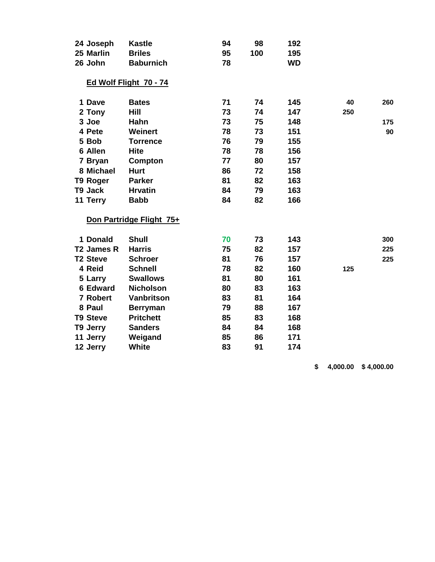| 24 Joseph              | <b>Kastle</b>            | 94 | 98  | 192       |     |     |
|------------------------|--------------------------|----|-----|-----------|-----|-----|
| 25 Marlin              | <b>Briles</b>            | 95 | 100 | 195       |     |     |
| 26 John                | <b>Baburnich</b>         | 78 |     | <b>WD</b> |     |     |
|                        | Ed Wolf Flight 70 - 74   |    |     |           |     |     |
| 1 Dave                 | <b>Bates</b>             | 71 | 74  | 145       | 40  | 260 |
| 2 Tony                 | Hill                     | 73 | 74  | 147       | 250 |     |
| 3 Joe                  | Hahn                     | 73 | 75  | 148       |     | 175 |
| 4 Pete                 | Weinert                  | 78 | 73  | 151       |     | 90  |
| 5 Bob                  | <b>Torrence</b>          | 76 | 79  | 155       |     |     |
| 6 Allen                | <b>Hite</b>              | 78 | 78  | 156       |     |     |
| 7 Bryan                | Compton                  | 77 | 80  | 157       |     |     |
| 8 Michael              | <b>Hurt</b>              | 86 | 72  | 158       |     |     |
| T9 Roger               | <b>Parker</b>            | 81 | 82  | 163       |     |     |
| T9 Jack                | <b>Hrvatin</b>           | 84 | 79  | 163       |     |     |
| 11 Terry               | <b>Babb</b>              | 84 | 82  | 166       |     |     |
|                        | Don Partridge Flight 75+ |    |     |           |     |     |
| 1 Donald               | <b>Shull</b>             | 70 | 73  | 143       |     | 300 |
| T <sub>2</sub> James R | <b>Harris</b>            | 75 | 82  | 157       |     | 225 |
| <b>T2 Steve</b>        | <b>Schroer</b>           | 81 | 76  | 157       |     | 225 |
| 4 Reid                 | <b>Schnell</b>           | 78 | 82  | 160       | 125 |     |
| 5 Larry                | <b>Swallows</b>          | 81 | 80  | 161       |     |     |
| <b>6 Edward</b>        | <b>Nicholson</b>         | 80 | 83  | 163       |     |     |
| 7 Robert               | Vanbritson               | 83 | 81  | 164       |     |     |
| 8 Paul                 | <b>Berryman</b>          | 79 | 88  | 167       |     |     |
| <b>T9 Steve</b>        | <b>Pritchett</b>         | 85 | 83  | 168       |     |     |
| T9 Jerry               | <b>Sanders</b>           | 84 | 84  | 168       |     |     |
| 11 Jerry               | Weigand                  | 85 | 86  | 171       |     |     |
| 12 Jerry               | <b>White</b>             | 83 | 91  | 174       |     |     |

**\$ 4,000.00 \$ 4,000.00**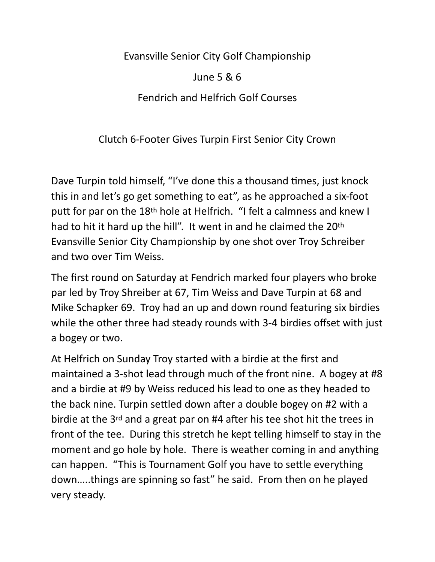Evansville Senior City Golf Championship

June 5 & 6 Fendrich and Helfrich Golf Courses

Clutch 6-Footer Gives Turpin First Senior City Crown

Dave Turpin told himself, "I've done this a thousand times, just knock this in and let's go get something to eat", as he approached a six-foot putt for par on the 18th hole at Helfrich. "I felt a calmness and knew I had to hit it hard up the hill". It went in and he claimed the 20th Evansville Senior City Championship by one shot over Troy Schreiber and two over Tim Weiss.

The first round on Saturday at Fendrich marked four players who broke par led by Troy Shreiber at 67, Tim Weiss and Dave Turpin at 68 and Mike Schapker 69. Troy had an up and down round featuring six birdies while the other three had steady rounds with 3-4 birdies offset with just a bogey or two.

At Helfrich on Sunday Troy started with a birdie at the first and maintained a 3-shot lead through much of the front nine. A bogey at #8 and a birdie at #9 by Weiss reduced his lead to one as they headed to the back nine. Turpin settled down after a double bogey on #2 with a birdie at the 3rd and a great par on #4 after his tee shot hit the trees in front of the tee. During this stretch he kept telling himself to stay in the moment and go hole by hole. There is weather coming in and anything can happen. "This is Tournament Golf you have to settle everything down…..things are spinning so fast" he said. From then on he played very steady.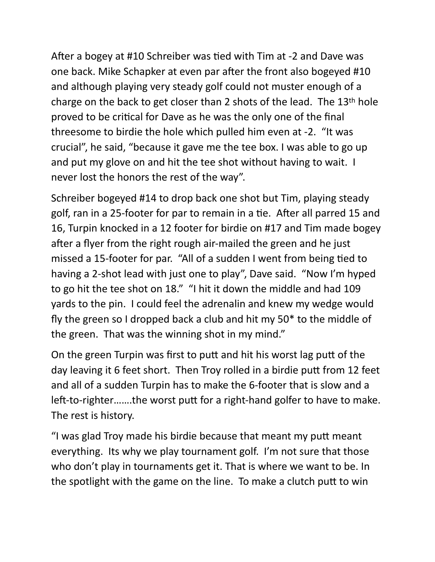After a bogey at #10 Schreiber was tied with Tim at -2 and Dave was one back. Mike Schapker at even par after the front also bogeyed #10 and although playing very steady golf could not muster enough of a charge on the back to get closer than 2 shots of the lead. The 13th hole proved to be critical for Dave as he was the only one of the final threesome to birdie the hole which pulled him even at -2. "It was crucial", he said, "because it gave me the tee box. I was able to go up and put my glove on and hit the tee shot without having to wait. I never lost the honors the rest of the way".

Schreiber bogeyed #14 to drop back one shot but Tim, playing steady golf, ran in a 25-footer for par to remain in a tie. After all parred 15 and 16, Turpin knocked in a 12 footer for birdie on #17 and Tim made bogey after a flyer from the right rough air-mailed the green and he just missed a 15-footer for par. "All of a sudden I went from being tied to having a 2-shot lead with just one to play", Dave said. "Now I'm hyped to go hit the tee shot on 18." "I hit it down the middle and had 109 yards to the pin. I could feel the adrenalin and knew my wedge would fly the green so I dropped back a club and hit my 50\* to the middle of the green. That was the winning shot in my mind."

On the green Turpin was first to putt and hit his worst lag putt of the day leaving it 6 feet short. Then Troy rolled in a birdie putt from 12 feet and all of a sudden Turpin has to make the 6-footer that is slow and a left-to-righter…….the worst putt for a right-hand golfer to have to make. The rest is history.

"I was glad Troy made his birdie because that meant my putt meant everything. Its why we play tournament golf. I'm not sure that those who don't play in tournaments get it. That is where we want to be. In the spotlight with the game on the line. To make a clutch putt to win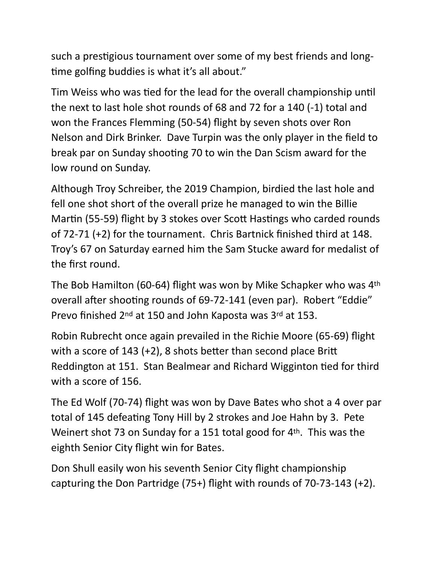such a prestigious tournament over some of my best friends and longtime golfing buddies is what it's all about."

Tim Weiss who was tied for the lead for the overall championship until the next to last hole shot rounds of 68 and 72 for a 140 (-1) total and won the Frances Flemming (50-54) flight by seven shots over Ron Nelson and Dirk Brinker. Dave Turpin was the only player in the field to break par on Sunday shooting 70 to win the Dan Scism award for the low round on Sunday.

Although Troy Schreiber, the 2019 Champion, birdied the last hole and fell one shot short of the overall prize he managed to win the Billie Martin (55-59) flight by 3 stokes over Scott Hastings who carded rounds of 72-71 (+2) for the tournament. Chris Bartnick finished third at 148. Troy's 67 on Saturday earned him the Sam Stucke award for medalist of the first round.

The Bob Hamilton (60-64) flight was won by Mike Schapker who was 4th overall after shooting rounds of 69-72-141 (even par). Robert "Eddie" Prevo finished 2nd at 150 and John Kaposta was 3rd at 153.

Robin Rubrecht once again prevailed in the Richie Moore (65-69) flight with a score of 143 (+2), 8 shots better than second place Britt Reddington at 151. Stan Bealmear and Richard Wigginton tied for third with a score of 156.

The Ed Wolf (70-74) flight was won by Dave Bates who shot a 4 over par total of 145 defeating Tony Hill by 2 strokes and Joe Hahn by 3. Pete Weinert shot 73 on Sunday for a 151 total good for 4th. This was the eighth Senior City flight win for Bates.

Don Shull easily won his seventh Senior City flight championship capturing the Don Partridge (75+) flight with rounds of 70-73-143 (+2).